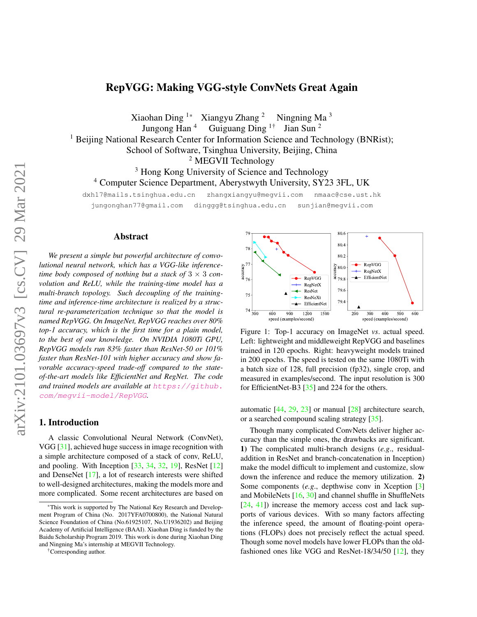# RepVGG: Making VGG-style ConvNets Great Again

<span id="page-0-1"></span>Xiaohan Ding <sup>1\*</sup> Xiangyu Zhang <sup>2</sup> Ningning Ma<sup>3</sup> Jungong Han <sup>4</sup> Guiguang Ding 1† Jian Sun <sup>2</sup> <sup>1</sup> Beijing National Research Center for Information Science and Technology (BNRist); School of Software, Tsinghua University, Beijing, China <sup>2</sup> MEGVII Technology <sup>3</sup> Hong Kong University of Science and Technology <sup>4</sup> Computer Science Department, Aberystwyth University, SY23 3FL, UK dxh17@mails.tsinghua.edu.cn zhangxiangyu@megvii.com nmaac@cse.ust.hk

jungonghan77@gmail.com dinggg@tsinghua.edu.cn sunjian@megvii.com

### Abstract

*We present a simple but powerful architecture of convolutional neural network, which has a VGG-like inferencetime body composed of nothing but a stack of*  $3 \times 3$  *convolution and ReLU, while the training-time model has a multi-branch topology. Such decoupling of the trainingtime and inference-time architecture is realized by a structural re-parameterization technique so that the model is named RepVGG. On ImageNet, RepVGG reaches over 80% top-1 accuracy, which is the first time for a plain model, to the best of our knowledge. On NVIDIA 1080Ti GPU, RepVGG models run 83% faster than ResNet-50 or 101% faster than ResNet-101 with higher accuracy and show favorable accuracy-speed trade-off compared to the stateof-the-art models like EfficientNet and RegNet. The code and trained models are available at* [https://github.](https://github.com/megvii-model/RepVGG) [com/megvii-model/RepVGG](https://github.com/megvii-model/RepVGG)*.*

## 1. Introduction

A classic Convolutional Neural Network (ConvNet), VGG [\[31\]](#page-9-0), achieved huge success in image recognition with a simple architecture composed of a stack of conv, ReLU, and pooling. With Inception [\[33,](#page-9-1) [34,](#page-9-2) [32,](#page-9-3) [19\]](#page-8-0), ResNet [\[12\]](#page-8-1) and DenseNet [\[17\]](#page-8-2), a lot of research interests were shifted to well-designed architectures, making the models more and more complicated. Some recent architectures are based on

†Corresponding author.

<span id="page-0-0"></span>

Figure 1: Top-1 accuracy on ImageNet *vs*. actual speed. Left: lightweight and middleweight RepVGG and baselines trained in 120 epochs. Right: heavyweight models trained in 200 epochs. The speed is tested on the same 1080Ti with a batch size of 128, full precision (fp32), single crop, and measured in examples/second. The input resolution is 300 for EfficientNet-B3 [\[35\]](#page-9-4) and 224 for the others.

automatic [\[44,](#page-9-5) [29,](#page-9-6) [23\]](#page-8-3) or manual [\[28\]](#page-9-7) architecture search, or a searched compound scaling strategy [\[35\]](#page-9-4).

Though many complicated ConvNets deliver higher accuracy than the simple ones, the drawbacks are significant. 1) The complicated multi-branch designs (*e.g*., residualaddition in ResNet and branch-concatenation in Inception) make the model difficult to implement and customize, slow down the inference and reduce the memory utilization. 2) Some components (*e.g.*, depthwise conv in Xception [\[3\]](#page-8-4) and MobileNets [\[16,](#page-8-5) [30\]](#page-9-8) and channel shuffle in ShuffleNets [\[24,](#page-8-6) [41\]](#page-9-9)) increase the memory access cost and lack supports of various devices. With so many factors affecting the inference speed, the amount of floating-point operations (FLOPs) does not precisely reflect the actual speed. Though some novel models have lower FLOPs than the oldfashioned ones like VGG and ResNet-18/34/50 [\[12\]](#page-8-1), they

<sup>\*</sup>This work is supported by The National Key Research and Development Program of China (No. 2017YFA0700800), the National Natural Science Foundation of China (No.61925107, No.U1936202) and Beijing Academy of Artificial Intelligence (BAAI). Xiaohan Ding is funded by the Baidu Scholarship Program 2019. This work is done during Xiaohan Ding and Ningning Ma's internship at MEGVII Technology.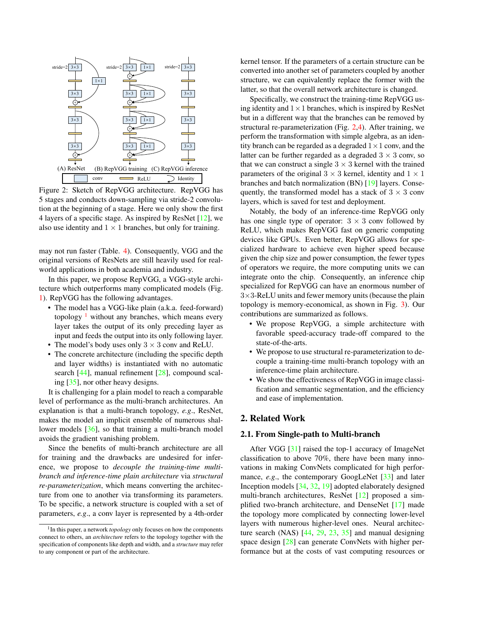<span id="page-1-2"></span><span id="page-1-1"></span>

Figure 2: Sketch of RepVGG architecture. RepVGG has 5 stages and conducts down-sampling via stride-2 convolution at the beginning of a stage. Here we only show the first 4 layers of a specific stage. As inspired by ResNet [\[12\]](#page-8-1), we also use identity and  $1 \times 1$  branches, but only for training.

may not run faster (Table. [4\)](#page-6-0). Consequently, VGG and the original versions of ResNets are still heavily used for realworld applications in both academia and industry.

In this paper, we propose RepVGG, a VGG-style architecture which outperforms many complicated models (Fig. [1\)](#page-0-0). RepVGG has the following advantages.

- The model has a VGG-like plain (a.k.a. feed-forward) topology  $\frac{1}{1}$  $\frac{1}{1}$  $\frac{1}{1}$  without any branches, which means every layer takes the output of its only preceding layer as input and feeds the output into its only following layer.
- The model's body uses only  $3 \times 3$  conv and ReLU.
- The concrete architecture (including the specific depth and layer widths) is instantiated with no automatic search [\[44\]](#page-9-5), manual refinement [\[28\]](#page-9-7), compound scaling [\[35\]](#page-9-4), nor other heavy designs.

It is challenging for a plain model to reach a comparable level of performance as the multi-branch architectures. An explanation is that a multi-branch topology, *e.g*., ResNet, makes the model an implicit ensemble of numerous shallower models [\[36\]](#page-9-10), so that training a multi-branch model avoids the gradient vanishing problem.

Since the benefits of multi-branch architecture are all for training and the drawbacks are undesired for inference, we propose to *decouple the training-time multibranch and inference-time plain architecture* via *structural re-parameterization*, which means converting the architecture from one to another via transforming its parameters. To be specific, a network structure is coupled with a set of parameters, *e.g*., a conv layer is represented by a 4th-order kernel tensor. If the parameters of a certain structure can be converted into another set of parameters coupled by another structure, we can equivalently replace the former with the latter, so that the overall network architecture is changed.

Specifically, we construct the training-time RepVGG using identity and  $1 \times 1$  branches, which is inspired by ResNet but in a different way that the branches can be removed by structural re-parameterization (Fig. [2,](#page-1-1)[4\)](#page-4-0). After training, we perform the transformation with simple algebra, as an identity branch can be regarded as a degraded  $1 \times 1$  conv, and the latter can be further regarded as a degraded  $3 \times 3$  conv, so that we can construct a single  $3 \times 3$  kernel with the trained parameters of the original  $3 \times 3$  kernel, identity and  $1 \times 1$ branches and batch normalization (BN) [\[19\]](#page-8-0) layers. Consequently, the transformed model has a stack of  $3 \times 3$  conv layers, which is saved for test and deployment.

Notably, the body of an inference-time RepVGG only has one single type of operator:  $3 \times 3$  conv followed by ReLU, which makes RepVGG fast on generic computing devices like GPUs. Even better, RepVGG allows for specialized hardware to achieve even higher speed because given the chip size and power consumption, the fewer types of operators we require, the more computing units we can integrate onto the chip. Consequently, an inference chip specialized for RepVGG can have an enormous number of  $3\times3$ -ReLU units and fewer memory units (because the plain topology is memory-economical, as shown in Fig. [3\)](#page-3-0). Our contributions are summarized as follows.

- We propose RepVGG, a simple architecture with favorable speed-accuracy trade-off compared to the state-of-the-arts.
- We propose to use structural re-parameterization to decouple a training-time multi-branch topology with an inference-time plain architecture.
- We show the effectiveness of RepVGG in image classification and semantic segmentation, and the efficiency and ease of implementation.

### 2. Related Work

### 2.1. From Single-path to Multi-branch

After VGG [\[31\]](#page-9-0) raised the top-1 accuracy of ImageNet classification to above 70%, there have been many innovations in making ConvNets complicated for high performance, *e.g.*, the contemporary GoogLeNet [\[33\]](#page-9-1) and later Inception models [\[34,](#page-9-2) [32,](#page-9-3) [19\]](#page-8-0) adopted elaborately designed multi-branch architectures, ResNet [\[12\]](#page-8-1) proposed a simplified two-branch architecture, and DenseNet [\[17\]](#page-8-2) made the topology more complicated by connecting lower-level layers with numerous higher-level ones. Neural architecture search (NAS) [\[44,](#page-9-5) [29,](#page-9-6) [23,](#page-8-3) [35\]](#page-9-4) and manual designing space design [\[28\]](#page-9-7) can generate ConvNets with higher performance but at the costs of vast computing resources or

<span id="page-1-0"></span><sup>&</sup>lt;sup>1</sup> In this paper, a network *topology* only focuses on how the components connect to others, an *architecture* refers to the topology together with the specification of components like depth and width, and a *structure* may refer to any component or part of the architecture.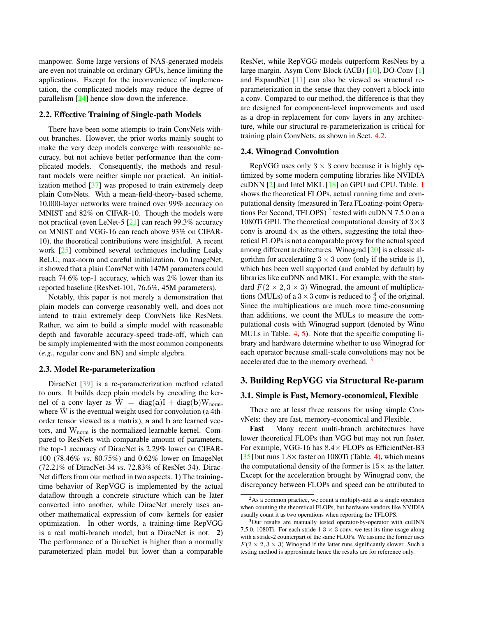<span id="page-2-4"></span>manpower. Some large versions of NAS-generated models are even not trainable on ordinary GPUs, hence limiting the applications. Except for the inconvenience of implementation, the complicated models may reduce the degree of parallelism [\[24\]](#page-8-6) hence slow down the inference.

### <span id="page-2-3"></span>2.2. Effective Training of Single-path Models

There have been some attempts to train ConvNets without branches. However, the prior works mainly sought to make the very deep models converge with reasonable accuracy, but not achieve better performance than the complicated models. Consequently, the methods and resultant models were neither simple nor practical. An initialization method [\[37\]](#page-9-11) was proposed to train extremely deep plain ConvNets. With a mean-field-theory-based scheme, 10,000-layer networks were trained over 99% accuracy on MNIST and 82% on CIFAR-10. Though the models were not practical (even LeNet-5 [\[21\]](#page-8-7) can reach 99.3% accuracy on MNIST and VGG-16 can reach above 93% on CIFAR-10), the theoretical contributions were insightful. A recent work [\[25\]](#page-8-8) combined several techniques including Leaky ReLU, max-norm and careful initialization. On ImageNet, it showed that a plain ConvNet with 147M parameters could reach 74.6% top-1 accuracy, which was 2% lower than its reported baseline (ResNet-101, 76.6%, 45M parameters).

Notably, this paper is not merely a demonstration that plain models can converge reasonably well, and does not intend to train extremely deep ConvNets like ResNets. Rather, we aim to build a simple model with reasonable depth and favorable accuracy-speed trade-off, which can be simply implemented with the most common components (*e.g*., regular conv and BN) and simple algebra.

### 2.3. Model Re-parameterization

DiracNet [\[39\]](#page-9-12) is a re-parameterization method related to ours. It builds deep plain models by encoding the kernel of a conv layer as  $\overline{W} = \text{diag}(a)I + \text{diag}(b)W_{\text{norm}}$ , where  $\hat{W}$  is the eventual weight used for convolution (a 4thorder tensor viewed as a matrix), a and b are learned vectors, and  $W_{norm}$  is the normalized learnable kernel. Compared to ResNets with comparable amount of parameters, the top-1 accuracy of DiracNet is 2.29% lower on CIFAR-100 (78.46% *vs*. 80.75%) and 0.62% lower on ImageNet (72.21% of DiracNet-34 *vs*. 72.83% of ResNet-34). Dirac-Net differs from our method in two aspects. 1) The trainingtime behavior of RepVGG is implemented by the actual dataflow through a concrete structure which can be later converted into another, while DiracNet merely uses another mathematical expression of conv kernels for easier optimization. In other words, a training-time RepVGG is a real multi-branch model, but a DiracNet is not. 2) The performance of a DiracNet is higher than a normally parameterized plain model but lower than a comparable

ResNet, while RepVGG models outperform ResNets by a large margin. Asym Conv Block (ACB) [\[10\]](#page-8-9), DO-Conv [\[1\]](#page-8-10) and ExpandNet [\[11\]](#page-8-11) can also be viewed as structural reparameterization in the sense that they convert a block into a conv. Compared to our method, the difference is that they are designed for component-level improvements and used as a drop-in replacement for conv layers in any architecture, while our structural re-parameterization is critical for training plain ConvNets, as shown in Sect. [4.2.](#page-6-1)

### <span id="page-2-2"></span>2.4. Winograd Convolution

RepVGG uses only  $3 \times 3$  conv because it is highly optimized by some modern computing libraries like NVIDIA cuDNN [\[2\]](#page-8-12) and Intel MKL [\[18\]](#page-8-13) on GPU and CPU. Table. [1](#page-3-1) shows the theoretical FLOPs, actual running time and computational density (measured in Tera FLoating-point Operations Per Second, TFLOPS)  $2$  tested with cuDNN 7.5.0 on a 1080Ti GPU. The theoretical computational density of  $3 \times 3$ conv is around  $4\times$  as the others, suggesting the total theoretical FLOPs is not a comparable proxy for the actual speed among different architectures. Winograd [\[20\]](#page-8-14) is a classic algorithm for accelerating  $3 \times 3$  conv (only if the stride is 1), which has been well supported (and enabled by default) by libraries like cuDNN and MKL. For example, with the standard  $F(2 \times 2, 3 \times 3)$  Winograd, the amount of multiplications (MULs) of a  $3 \times 3$  conv is reduced to  $\frac{4}{9}$  of the original. Since the multiplications are much more time-consuming than additions, we count the MULs to measure the computational costs with Winograd support (denoted by Wino MULs in Table. [4,](#page-6-0) [5\)](#page-6-2). Note that the specific computing library and hardware determine whether to use Winograd for each operator because small-scale convolutions may not be accelerated due to the memory overhead.<sup>[3](#page-2-1)</sup>

### 3. Building RepVGG via Structural Re-param

#### 3.1. Simple is Fast, Memory-economical, Flexible

There are at least three reasons for using simple ConvNets: they are fast, memory-economical and Flexible.

Fast Many recent multi-branch architectures have lower theoretical FLOPs than VGG but may not run faster. For example, VGG-16 has  $8.4\times$  FLOPs as EfficientNet-B3 [\[35\]](#page-9-4) but runs  $1.8 \times$  faster on 1080Ti (Table. [4\)](#page-6-0), which means the computational density of the former is  $15\times$  as the latter. Except for the acceleration brought by Winograd conv, the discrepancy between FLOPs and speed can be attributed to

<span id="page-2-0"></span> $^{2}$ As a common practice, we count a multiply-add as a single operation when counting the theoretical FLOPs, but hardware vendors like NVIDIA usually count it as two operations when reporting the TFLOPS.

<span id="page-2-1"></span><sup>&</sup>lt;sup>3</sup>Our results are manually tested operator-by-operator with cuDNN 7.5.0, 1080Ti. For each stride-1  $3 \times 3$  conv, we test its time usage along with a stride-2 counterpart of the same FLOPs. We assume the former uses  $F(2 \times 2, 3 \times 3)$  Winograd if the latter runs significantly slower. Such a testing method is approximate hence the results are for reference only.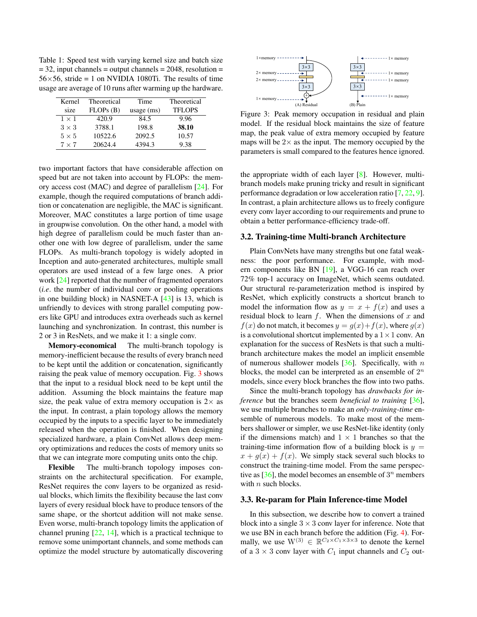<span id="page-3-2"></span><span id="page-3-1"></span>Table 1: Speed test with varying kernel size and batch size  $= 32$ , input channels  $=$  output channels  $= 2048$ , resolution  $=$  $56\times56$ , stride = 1 on NVIDIA 1080Ti. The results of time usage are average of 10 runs after warming up the hardware.

| Kernel       | Theoretical | Time         | Theoretical   |
|--------------|-------------|--------------|---------------|
| size         | FLOPs(B)    | usage $(ms)$ | <b>TFLOPS</b> |
| $1 \times 1$ | 420.9       | 84.5         | 9.96          |
| $3 \times 3$ | 3788.1      | 198.8        | 38.10         |
| $5 \times 5$ | 10522.6     | 2092.5       | 10.57         |
| $7 \times 7$ | 20624.4     | 4394.3       | 9.38          |

two important factors that have considerable affection on speed but are not taken into account by FLOPs: the memory access cost (MAC) and degree of parallelism [\[24\]](#page-8-6). For example, though the required computations of branch addition or concatenation are negligible, the MAC is significant. Moreover, MAC constitutes a large portion of time usage in groupwise convolution. On the other hand, a model with high degree of parallelism could be much faster than another one with low degree of parallelism, under the same FLOPs. As multi-branch topology is widely adopted in Inception and auto-generated architectures, multiple small operators are used instead of a few large ones. A prior work [\[24\]](#page-8-6) reported that the number of fragmented operators (*i.e*. the number of individual conv or pooling operations in one building block) in NASNET-A [\[43\]](#page-9-13) is 13, which is unfriendly to devices with strong parallel computing powers like GPU and introduces extra overheads such as kernel launching and synchronization. In contrast, this number is 2 or 3 in ResNets, and we make it 1: a single conv.

Memory-economical The multi-branch topology is memory-inefficient because the results of every branch need to be kept until the addition or concatenation, significantly raising the peak value of memory occupation. Fig. [3](#page-3-0) shows that the input to a residual block need to be kept until the addition. Assuming the block maintains the feature map size, the peak value of extra memory occupation is  $2 \times$  as the input. In contrast, a plain topology allows the memory occupied by the inputs to a specific layer to be immediately released when the operation is finished. When designing specialized hardware, a plain ConvNet allows deep memory optimizations and reduces the costs of memory units so that we can integrate more computing units onto the chip.

Flexible The multi-branch topology imposes constraints on the architectural specification. For example, ResNet requires the conv layers to be organized as residual blocks, which limits the flexibility because the last conv layers of every residual block have to produce tensors of the same shape, or the shortcut addition will not make sense. Even worse, multi-branch topology limits the application of channel pruning  $[22, 14]$  $[22, 14]$  $[22, 14]$ , which is a practical technique to remove some unimportant channels, and some methods can optimize the model structure by automatically discovering

<span id="page-3-0"></span>

Figure 3: Peak memory occupation in residual and plain model. If the residual block maintains the size of feature map, the peak value of extra memory occupied by feature maps will be  $2\times$  as the input. The memory occupied by the parameters is small compared to the features hence ignored.

the appropriate width of each layer [\[8\]](#page-8-17). However, multibranch models make pruning tricky and result in significant performance degradation or low acceleration ratio [\[7,](#page-8-18) [22,](#page-8-15) [9\]](#page-8-19). In contrast, a plain architecture allows us to freely configure every conv layer according to our requirements and prune to obtain a better performance-efficiency trade-off.

### 3.2. Training-time Multi-branch Architecture

Plain ConvNets have many strengths but one fatal weakness: the poor performance. For example, with modern components like BN [\[19\]](#page-8-0), a VGG-16 can reach over 72% top-1 accuracy on ImageNet, which seems outdated. Our structural re-parameterization method is inspired by ResNet, which explicitly constructs a shortcut branch to model the information flow as  $y = x + f(x)$  and uses a residual block to learn  $f$ . When the dimensions of  $x$  and  $f(x)$  do not match, it becomes  $y = g(x) + f(x)$ , where  $g(x)$ is a convolutional shortcut implemented by a  $1 \times 1$  conv. An explanation for the success of ResNets is that such a multibranch architecture makes the model an implicit ensemble of numerous shallower models  $[36]$ . Specifically, with n blocks, the model can be interpreted as an ensemble of  $2^n$ models, since every block branches the flow into two paths.

Since the multi-branch topology has *drawbacks for inference* but the branches seem *beneficial to training* [\[36\]](#page-9-10), we use multiple branches to make an *only-training-time* ensemble of numerous models. To make most of the members shallower or simpler, we use ResNet-like identity (only if the dimensions match) and  $1 \times 1$  branches so that the training-time information flow of a building block is  $y =$  $x + q(x) + f(x)$ . We simply stack several such blocks to construct the training-time model. From the same perspective as  $[36]$ , the model becomes an ensemble of  $3^n$  members with  $n$  such blocks.

#### 3.3. Re-param for Plain Inference-time Model

In this subsection, we describe how to convert a trained block into a single  $3 \times 3$  conv layer for inference. Note that we use BN in each branch before the addition (Fig. [4\)](#page-4-0). Formally, we use  $W^{(3)} \in \mathbb{R}^{C_2 \times C_1 \times 3 \times 3}$  to denote the kernel of a  $3 \times 3$  conv layer with  $C_1$  input channels and  $C_2$  out-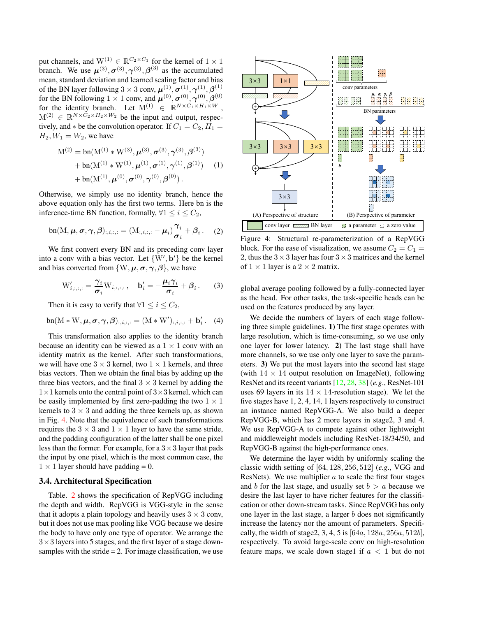<span id="page-4-2"></span>put channels, and  $W^{(1)} \in \mathbb{R}^{C_2 \times C_1}$  for the kernel of  $1 \times 1$ branch. We use  $\mu^{(3)}$ ,  $\sigma^{(3)}$ ,  $\gamma^{(3)}$ ,  $\beta^{(3)}$  as the accumulated mean, standard deviation and learned scaling factor and bias of the BN layer following  $3 \times 3$  conv,  $\boldsymbol{\mu}^{(1)}, \boldsymbol{\sigma}^{(1)}, \boldsymbol{\gamma}^{(1)}, \boldsymbol{\beta}^{(1)}$ for the BN following  $1 \times 1$  conv, and  $\boldsymbol{\mu}^{(0)}, \boldsymbol{\sigma}^{(0)}, \boldsymbol{\gamma}^{(0)}, \boldsymbol{\beta}^{(0)}$ for the identity branch. Let  $M^{(1)} \in \mathbb{R}^{N \times C_1 \times H_1 \times W_1}$ ,  $M^{(2)} \in \mathbb{R}^{N \times C_2 \times H_2 \times W_2}$  be the input and output, respectively, and  $*$  be the convolution operator. If  $C_1 = C_2, H_1 =$  $H_2, W_1 = W_2$ , we have

$$
M^{(2)} = \text{bn}(M^{(1)} * W^{(3)}, \boldsymbol{\mu}^{(3)}, \boldsymbol{\sigma}^{(3)}, \boldsymbol{\gamma}^{(3)}, \boldsymbol{\beta}^{(3)}) + \text{bn}(M^{(1)} * W^{(1)}, \boldsymbol{\mu}^{(1)}, \boldsymbol{\sigma}^{(1)}, \boldsymbol{\gamma}^{(1)}, \boldsymbol{\beta}^{(1)}) \quad (1) + \text{bn}(M^{(1)}, \boldsymbol{\mu}^{(0)}, \boldsymbol{\sigma}^{(0)}, \boldsymbol{\gamma}^{(0)}, \boldsymbol{\beta}^{(0)}).
$$

Otherwise, we simply use no identity branch, hence the above equation only has the first two terms. Here bn is the inference-time BN function, formally,  $\forall 1 \leq i \leq C_2$ ,

$$
\text{bn}(M, \boldsymbol{\mu}, \boldsymbol{\sigma}, \boldsymbol{\gamma}, \boldsymbol{\beta})_{:, i, :, :} = (M_{:, i, :, :} - \boldsymbol{\mu}_i) \frac{\gamma_i}{\sigma_i} + \beta_i. \quad (2)
$$

We first convert every BN and its preceding conv layer into a conv with a bias vector. Let  $\{W', b'\}$  be the kernel and bias converted from  $\{W, \mu, \sigma, \gamma, \beta\}$ , we have

<span id="page-4-1"></span>
$$
W'_{i,:,:,:} = \frac{\gamma_i}{\sigma_i} W_{i,:,:,:}, \quad \mathbf{b}'_i = -\frac{\mu_i \gamma_i}{\sigma_i} + \beta_i. \tag{3}
$$

Then it is easy to verify that  $\forall 1 \leq i \leq C_2$ ,

$$
\mathsf{bn}(M*W,\boldsymbol{\mu},\boldsymbol{\sigma},\boldsymbol{\gamma},\boldsymbol{\beta})_{:,i,:,:} = (M*W')_{:,i,:,:} + \mathbf{b}'_i.
$$
 (4)

This transformation also applies to the identity branch because an identity can be viewed as a  $1 \times 1$  conv with an identity matrix as the kernel. After such transformations, we will have one  $3 \times 3$  kernel, two  $1 \times 1$  kernels, and three bias vectors. Then we obtain the final bias by adding up the three bias vectors, and the final  $3 \times 3$  kernel by adding the  $1\times1$  kernels onto the central point of  $3\times3$  kernel, which can be easily implemented by first zero-padding the two  $1 \times 1$ kernels to  $3 \times 3$  and adding the three kernels up, as shown in Fig. [4.](#page-4-0) Note that the equivalence of such transformations requires the  $3 \times 3$  and  $1 \times 1$  layer to have the same stride, and the padding configuration of the latter shall be one pixel less than the former. For example, for a  $3 \times 3$  layer that pads the input by one pixel, which is the most common case, the  $1 \times 1$  layer should have padding = 0.

### 3.4. Architectural Specification

Table. [2](#page-5-0) shows the specification of RepVGG including the depth and width. RepVGG is VGG-style in the sense that it adopts a plain topology and heavily uses  $3 \times 3$  conv, but it does not use max pooling like VGG because we desire the body to have only one type of operator. We arrange the  $3\times3$  layers into 5 stages, and the first layer of a stage downsamples with the stride  $= 2$ . For image classification, we use

<span id="page-4-0"></span>

Figure 4: Structural re-parameterization of a RepVGG block. For the ease of visualization, we assume  $C_2 = C_1$  = 2, thus the  $3 \times 3$  layer has four  $3 \times 3$  matrices and the kernel of  $1 \times 1$  layer is a  $2 \times 2$  matrix.

global average pooling followed by a fully-connected layer as the head. For other tasks, the task-specific heads can be used on the features produced by any layer.

We decide the numbers of layers of each stage following three simple guidelines. 1) The first stage operates with large resolution, which is time-consuming, so we use only one layer for lower latency. 2) The last stage shall have more channels, so we use only one layer to save the parameters. 3) We put the most layers into the second last stage (with  $14 \times 14$  output resolution on ImageNet), following ResNet and its recent variants [\[12,](#page-8-1) [28,](#page-9-7) [38\]](#page-9-14) (*e.g*., ResNet-101 uses 69 layers in its  $14 \times 14$ -resolution stage). We let the five stages have 1, 2, 4, 14, 1 layers respectively to construct an instance named RepVGG-A. We also build a deeper RepVGG-B, which has 2 more layers in stage2, 3 and 4. We use RepVGG-A to compete against other lightweight and middleweight models including ResNet-18/34/50, and RepVGG-B against the high-performance ones.

We determine the layer width by uniformly scaling the classic width setting of [64, 128, 256, 512] (*e.g*., VGG and ResNets). We use multiplier a to scale the first four stages and b for the last stage, and usually set  $b > a$  because we desire the last layer to have richer features for the classification or other down-stream tasks. Since RepVGG has only one layer in the last stage, a larger  $b$  does not significantly increase the latency nor the amount of parameters. Specifically, the width of stage2, 3, 4, 5 is  $[64a, 128a, 256a, 512b]$ , respectively. To avoid large-scale conv on high-resolution feature maps, we scale down stage1 if  $a < 1$  but do not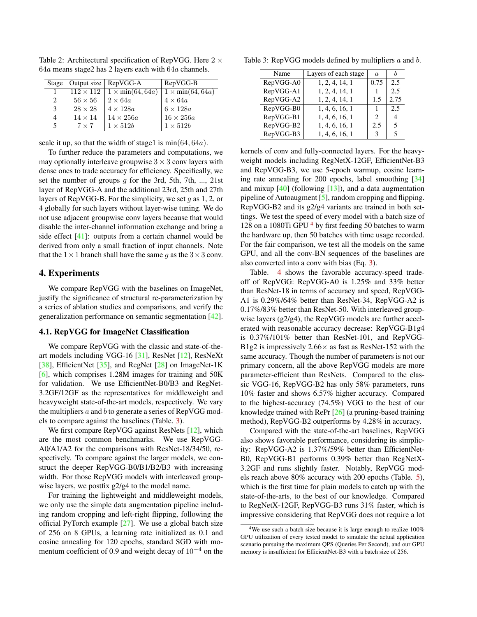| Stage |                | Output size   RepVGG-A                     | RepVGG-B                |
|-------|----------------|--------------------------------------------|-------------------------|
|       |                | $112 \times 112$   $1 \times min(64, 64a)$ | $1 \times min(64, 64a)$ |
| 2     | $56 \times 56$ | $2 \times 64a$                             | $4 \times 64a$          |
| 3     | $28 \times 28$ | $4 \times 128a$                            | $6 \times 128a$         |
| 4     | $14 \times 14$ | $14 \times 256a$                           | $16\times256a$          |
| 5     | $7 \times 7$   | $1 \times 512b$                            | $1 \times 512b$         |

<span id="page-5-3"></span><span id="page-5-0"></span>Table 2: Architectural specification of RepVGG. Here  $2 \times$ 64a means stage2 has 2 layers each with 64a channels.

scale it up, so that the width of stage1 is  $min(64, 64a)$ .

To further reduce the parameters and computations, we may optionally interleave groupwise  $3 \times 3$  conv layers with dense ones to trade accuracy for efficiency. Specifically, we set the number of groups  $g$  for the 3rd, 5th, 7th, ..., 21st layer of RepVGG-A and the additional 23rd, 25th and 27th layers of RepVGG-B. For the simplicity, we set q as 1, 2, or 4 globally for such layers without layer-wise tuning. We do not use adjacent groupwise conv layers because that would disable the inter-channel information exchange and bring a side effect [\[41\]](#page-9-9): outputs from a certain channel would be derived from only a small fraction of input channels. Note that the  $1 \times 1$  branch shall have the same g as the  $3 \times 3$  conv.

### 4. Experiments

We compare RepVGG with the baselines on ImageNet, justify the significance of structural re-parameterization by a series of ablation studies and comparisons, and verify the generalization performance on semantic segmentation [\[42\]](#page-9-15).

### 4.1. RepVGG for ImageNet Classification

We compare RepVGG with the classic and state-of-theart models including VGG-16 [\[31\]](#page-9-0), ResNet [\[12\]](#page-8-1), ResNeXt [\[38\]](#page-9-14), EfficientNet [\[35\]](#page-9-4), and RegNet [\[28\]](#page-9-7) on ImageNet-1K [\[6\]](#page-8-20), which comprises 1.28M images for training and 50K for validation. We use EfficientNet-B0/B3 and RegNet-3.2GF/12GF as the representatives for middleweight and heavyweight state-of-the-art models, respectively. We vary the multipliers  $a$  and  $b$  to generate a series of RepVGG models to compare against the baselines (Table. [3\)](#page-5-1).

We first compare RepVGG against ResNets [\[12\]](#page-8-1), which are the most common benchmarks. We use RepVGG-A0/A1/A2 for the comparisons with ResNet-18/34/50, respectively. To compare against the larger models, we construct the deeper RepVGG-B0/B1/B2/B3 with increasing width. For those RepVGG models with interleaved groupwise layers, we postfix g2/g4 to the model name.

For training the lightweight and middleweight models, we only use the simple data augmentation pipeline including random cropping and left-right flipping, following the official PyTorch example  $[27]$ . We use a global batch size of 256 on 8 GPUs, a learning rate initialized as 0.1 and cosine annealing for 120 epochs, standard SGD with momentum coefficient of 0.9 and weight decay of  $10^{-4}$  on the

<span id="page-5-1"></span>Table 3: RepVGG models defined by multipliers  $a$  and  $b$ .

| Name      | Layers of each stage | $\alpha$       | h                        |
|-----------|----------------------|----------------|--------------------------|
| RepVGG-A0 | 1, 2, 4, 14, 1       | 0.75           | 2.5                      |
| RepVGG-A1 | 1, 2, 4, 14, 1       |                | 2.5                      |
| RepVGG-A2 | 1, 2, 4, 14, 1       | 1.5            | 2.75                     |
| RepVGG-B0 | 1, 4, 6, 16, 1       | 1              | 2.5                      |
| RepVGG-B1 | 1, 4, 6, 16, 1       | $\mathfrak{D}$ | $\overline{4}$           |
| RepVGG-B2 | 1, 4, 6, 16, 1       | 2.5            | $\overline{\phantom{1}}$ |
| RepVGG-B3 | 1, 4, 6, 16, 1       | 3              | 5                        |

kernels of conv and fully-connected layers. For the heavyweight models including RegNetX-12GF, EfficientNet-B3 and RepVGG-B3, we use 5-epoch warmup, cosine learning rate annealing for 200 epochs, label smoothing [\[34\]](#page-9-2) and mixup  $[40]$  (following  $[13]$ ), and a data augmentation pipeline of Autoaugment [\[5\]](#page-8-22), random cropping and flipping. RepVGG-B2 and its g2/g4 variants are trained in both settings. We test the speed of every model with a batch size of 128 on a 1080Ti GPU <sup>[4](#page-5-2)</sup> by first feeding 50 batches to warm the hardware up, then 50 batches with time usage recorded. For the fair comparison, we test all the models on the same GPU, and all the conv-BN sequences of the baselines are also converted into a conv with bias (Eq. [3\)](#page-4-1).

Table. [4](#page-6-0) shows the favorable accuracy-speed tradeoff of RepVGG: RepVGG-A0 is 1.25% and 33% better than ResNet-18 in terms of accuracy and speed, RepVGG-A1 is 0.29%/64% better than ResNet-34, RepVGG-A2 is 0.17%/83% better than ResNet-50. With interleaved groupwise layers (g2/g4), the RepVGG models are further accelerated with reasonable accuracy decrease: RepVGG-B1g4 is 0.37%/101% better than ResNet-101, and RepVGG-B1g2 is impressively  $2.66 \times$  as fast as ResNet-152 with the same accuracy. Though the number of parameters is not our primary concern, all the above RepVGG models are more parameter-efficient than ResNets. Compared to the classic VGG-16, RepVGG-B2 has only 58% parameters, runs 10% faster and shows 6.57% higher accuracy. Compared to the highest-accuracy (74.5%) VGG to the best of our knowledge trained with RePr [\[26\]](#page-9-18) (a pruning-based training method), RepVGG-B2 outperforms by 4.28% in accuracy.

Compared with the state-of-the-art baselines, RepVGG also shows favorable performance, considering its simplicity: RepVGG-A2 is 1.37%/59% better than EfficientNet-B0, RepVGG-B1 performs 0.39% better than RegNetX-3.2GF and runs slightly faster. Notably, RepVGG models reach above 80% accuracy with 200 epochs (Table. [5\)](#page-6-2), which is the first time for plain models to catch up with the state-of-the-arts, to the best of our knowledge. Compared to RegNetX-12GF, RepVGG-B3 runs 31% faster, which is impressive considering that RepVGG does not require a lot

<span id="page-5-2"></span><sup>&</sup>lt;sup>4</sup>We use such a batch size because it is large enough to realize 100% GPU utilization of every tested model to simulate the actual application scenario pursuing the maximum QPS (Queries Per Second), and our GPU memory is insufficient for EfficientNet-B3 with a batch size of 256.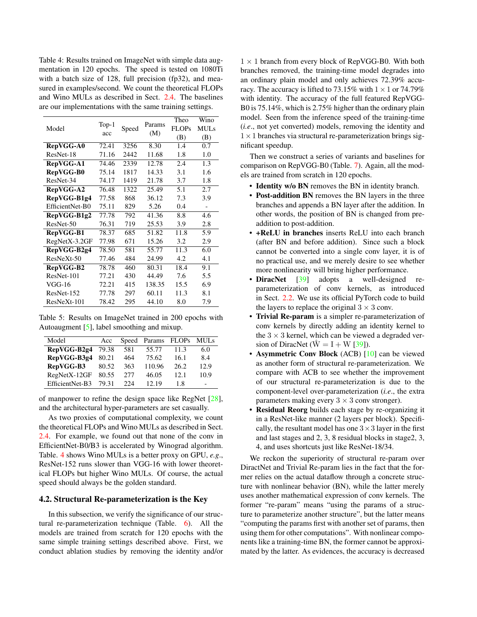<span id="page-6-3"></span><span id="page-6-0"></span>Table 4: Results trained on ImageNet with simple data augmentation in 120 epochs. The speed is tested on 1080Ti with a batch size of 128, full precision (fp32), and measured in examples/second. We count the theoretical FLOPs and Wino MULs as described in Sect. [2.4.](#page-2-2) The baselines are our implementations with the same training settings.

| Model           | $Top-1$<br>acc | Speed | Params<br>(M) | Theo<br><b>FLOPs</b><br>(B) | Wino<br><b>MULs</b><br>(B) |
|-----------------|----------------|-------|---------------|-----------------------------|----------------------------|
| RepVGG-A0       | 72.41          | 3256  | 8.30          | 1.4                         | 0.7                        |
| ResNet-18       | 71.16          | 2442  | 11.68         | 1.8                         | 1.0                        |
| RepVGG-A1       | 74.46          | 2339  | 12.78         | 2.4                         | 1.3                        |
| RepVGG-B0       | 75.14          | 1817  | 14.33         | 3.1                         | 1.6                        |
| ResNet-34       | 74.17          | 1419  | 21.78         | 3.7                         | 1.8                        |
| RepVGG-A2       | 76.48          | 1322  | 25.49         | 5.1                         | 2.7                        |
| RepVGG-B1g4     | 77.58          | 868   | 36.12         | 7.3                         | 3.9                        |
| EfficientNet-B0 | 75.11          | 829   | 5.26          | 0.4                         |                            |
| RepVGG-B1g2     | 77.78          | 792   | 41.36         | 8.8                         | 4.6                        |
| ResNet-50       | 76.31          | 719   | 25.53         | 3.9                         | 2.8                        |
| RepVGG-B1       | 78.37          | 685   | 51.82         | 11.8                        | 5.9                        |
| RegNetX-3.2GF   | 77.98          | 671   | 15.26         | 3.2                         | 2.9                        |
| RepVGG-B2g4     | 78.50          | 581   | 55.77         | 11.3                        | 6.0                        |
| $ResNeXt-50$    | 77.46          | 484   | 24.99         | 4.2                         | 4.1                        |
| RepVGG-B2       | 78.78          | 460   | 80.31         | 18.4                        | 9.1                        |
| ResNet-101      | 77.21          | 430   | 44.49         | 7.6                         | 5.5                        |
| VGG-16          | 72.21          | 415   | 138.35        | 15.5                        | 6.9                        |
| ResNet-152      | 77.78          | 297   | 60.11         | 11.3                        | 8.1                        |
| $ResNeXt-101$   | 78.42          | 295   | 44.10         | 8.0                         | 7.9                        |

<span id="page-6-2"></span>Table 5: Results on ImageNet trained in 200 epochs with Autoaugment [\[5\]](#page-8-22), label smoothing and mixup.

| Model           | Acc   |      | Speed Params | <b>FLOPs</b> | <b>MULs</b> |
|-----------------|-------|------|--------------|--------------|-------------|
| RepVGG-B2g4     | 79.38 | 581  | 55.77        | 11.3         | 6.0         |
| RepVGG-B3g4     | 80.21 | 464  | 75.62        | 16.1         | 8.4         |
| RepVGG-B3       | 80.52 | 363  | 110.96       | 26.2         | 12.9        |
| RegNetX-12GF    | 80.55 | 2.77 | 46.05        | 12.1         | 10.9        |
| EfficientNet-B3 | 79.31 | 224  | 12.19        | 1.8          |             |

of manpower to refine the design space like RegNet [\[28\]](#page-9-7), and the architectural hyper-parameters are set casually.

As two proxies of computational complexity, we count the theoretical FLOPs and Wino MULs as described in Sect. [2.4.](#page-2-2) For example, we found out that none of the conv in EfficientNet-B0/B3 is accelerated by Winograd algorithm. Table. [4](#page-6-0) shows Wino MULs is a better proxy on GPU, *e.g*., ResNet-152 runs slower than VGG-16 with lower theoretical FLOPs but higher Wino MULs. Of course, the actual speed should always be the golden standard.

### <span id="page-6-1"></span>4.2. Structural Re-parameterization is the Key

In this subsection, we verify the significance of our structural re-parameterization technique (Table. [6\)](#page-7-0). All the models are trained from scratch for 120 epochs with the same simple training settings described above. First, we conduct ablation studies by removing the identity and/or  $1 \times 1$  branch from every block of RepVGG-B0. With both branches removed, the training-time model degrades into an ordinary plain model and only achieves 72.39% accuracy. The accuracy is lifted to 73.15% with  $1 \times 1$  or 74.79% with identity. The accuracy of the full featured RepVGG-B0 is 75.14%, which is 2.75% higher than the ordinary plain model. Seen from the inference speed of the training-time (*i.e*., not yet converted) models, removing the identity and  $1 \times 1$  branches via structural re-parameterization brings significant speedup.

Then we construct a series of variants and baselines for comparison on RepVGG-B0 (Table. [7\)](#page-7-1). Again, all the models are trained from scratch in 120 epochs.

- **Identity w/o BN** removes the BN in identity branch.
- Post-addition BN removes the BN layers in the three branches and appends a BN layer after the addition. In other words, the position of BN is changed from preaddition to post-addition.
- +ReLU in branches inserts ReLU into each branch (after BN and before addition). Since such a block cannot be converted into a single conv layer, it is of no practical use, and we merely desire to see whether more nonlinearity will bring higher performance.
- **DiracNet** [\[39\]](#page-9-12) adopts a well-designed reparameterization of conv kernels, as introduced in Sect. [2.2.](#page-2-3) We use its official PyTorch code to build the layers to replace the original  $3 \times 3$  conv.
- Trivial Re-param is a simpler re-parameterization of conv kernels by directly adding an identity kernel to the  $3 \times 3$  kernel, which can be viewed a degraded version of DiracNet ( $\overline{W} = I + W$  [\[39\]](#page-9-12)).
- Asymmetric Conv Block (ACB) [\[10\]](#page-8-9) can be viewed as another form of structural re-parameterization. We compare with ACB to see whether the improvement of our structural re-parameterization is due to the component-level over-parameterization (*i.e*., the extra parameters making every  $3 \times 3$  conv stronger).
- Residual Reorg builds each stage by re-organizing it in a ResNet-like manner (2 layers per block). Specifically, the resultant model has one  $3 \times 3$  layer in the first and last stages and 2, 3, 8 residual blocks in stage2, 3, 4, and uses shortcuts just like ResNet-18/34.

We reckon the superiority of structural re-param over DiractNet and Trivial Re-param lies in the fact that the former relies on the actual dataflow through a concrete structure with nonlinear behavior (BN), while the latter merely uses another mathematical expression of conv kernels. The former "re-param" means "using the params of a structure to parameterize another structure", but the latter means "computing the params first with another set of params, then using them for other computations". With nonlinear components like a training-time BN, the former cannot be approximated by the latter. As evidences, the accuracy is decreased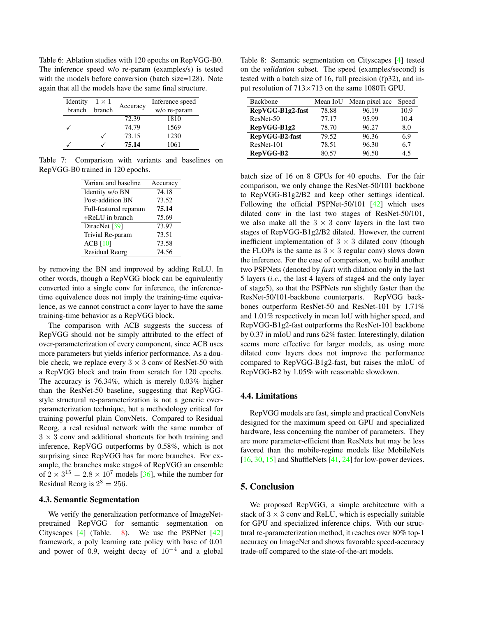<span id="page-7-3"></span><span id="page-7-0"></span>Table 6: Ablation studies with 120 epochs on RepVGG-B0. The inference speed w/o re-param (examples/s) is tested with the models before conversion (batch size=128). Note again that all the models have the same final structure.

| Identity | $1 \times 1$ |          | Inference speed |
|----------|--------------|----------|-----------------|
| branch   | branch       | Accuracy | w/o re-param    |
|          |              | 72.39    | 1810            |
|          |              | 74.79    | 1569            |
|          |              | 73.15    | 1230            |
|          |              | 75.14    | 1061            |

<span id="page-7-1"></span>Table 7: Comparison with variants and baselines on RepVGG-B0 trained in 120 epochs.

| Variant and baseline  | Accuracy |
|-----------------------|----------|
|                       |          |
| Identity w/o BN       | 74.18    |
| Post-addition BN      | 73.52    |
| Full-featured reparam | 75.14    |
| $+$ ReLU in branch    | 75.69    |
| DiracNet [39]         | 73.97    |
| Trivial Re-param      | 73.51    |
| $ACB$ [10]            | 73.58    |
| <b>Residual Reorg</b> | 74.56    |
|                       |          |

by removing the BN and improved by adding ReLU. In other words, though a RepVGG block can be equivalently converted into a single conv for inference, the inferencetime equivalence does not imply the training-time equivalence, as we cannot construct a conv layer to have the same training-time behavior as a RepVGG block.

The comparison with ACB suggests the success of RepVGG should not be simply attributed to the effect of over-parameterization of every component, since ACB uses more parameters but yields inferior performance. As a double check, we replace every  $3 \times 3$  conv of ResNet-50 with a RepVGG block and train from scratch for 120 epochs. The accuracy is 76.34%, which is merely 0.03% higher than the ResNet-50 baseline, suggesting that RepVGGstyle structural re-parameterization is not a generic overparameterization technique, but a methodology critical for training powerful plain ConvNets. Compared to Residual Reorg, a real residual network with the same number of  $3 \times 3$  conv and additional shortcuts for both training and inference, RepVGG outperforms by 0.58%, which is not surprising since RepVGG has far more branches. For example, the branches make stage4 of RepVGG an ensemble of  $2 \times 3^{15} = 2.8 \times 10^7$  models [\[36\]](#page-9-10), while the number for Residual Reorg is  $2^8 = 256$ .

### 4.3. Semantic Segmentation

We verify the generalization performance of ImageNetpretrained RepVGG for semantic segmentation on Cityscapes [\[4\]](#page-8-23) (Table. [8\)](#page-7-2). We use the PSPNet [\[42\]](#page-9-15) framework, a poly learning rate policy with base of 0.01 and power of 0.9, weight decay of  $10^{-4}$  and a global

<span id="page-7-2"></span>Table 8: Semantic segmentation on Cityscapes [\[4\]](#page-8-23) tested on the *validation* subset. The speed (examples/second) is tested with a batch size of 16, full precision (fp32), and input resolution of  $713\times713$  on the same 1080Ti GPU.

| <b>Backbone</b>  | Mean IoU | Mean pixel acc | Speed |
|------------------|----------|----------------|-------|
| RepVGG-B1g2-fast | 78.88    | 96.19          | 10.9  |
| ResNet-50        | 77.17    | 95.99          | 10.4  |
| RepVGG-B1g2      | 78.70    | 96.27          | 8.0   |
| RepVGG-B2-fast   | 79.52    | 96.36          | 6.9   |
| ResNet-101       | 78.51    | 96.30          | 6.7   |
| RepVGG-B2        | 80.57    | 96.50          | 45    |

batch size of 16 on 8 GPUs for 40 epochs. For the fair comparison, we only change the ResNet-50/101 backbone to RepVGG-B1g2/B2 and keep other settings identical. Following the official PSPNet-50/101 [\[42\]](#page-9-15) which uses dilated conv in the last two stages of ResNet-50/101, we also make all the  $3 \times 3$  conv layers in the last two stages of RepVGG-B1g2/B2 dilated. However, the current inefficient implementation of  $3 \times 3$  dilated conv (though the FLOPs is the same as  $3 \times 3$  regular conv) slows down the inference. For the ease of comparison, we build another two PSPNets (denoted by *fast*) with dilation only in the last 5 layers (*i.e*., the last 4 layers of stage4 and the only layer of stage5), so that the PSPNets run slightly faster than the ResNet-50/101-backbone counterparts. RepVGG backbones outperform ResNet-50 and ResNet-101 by 1.71% and 1.01% respectively in mean IoU with higher speed, and RepVGG-B1g2-fast outperforms the ResNet-101 backbone by 0.37 in mIoU and runs 62% faster. Interestingly, dilation seems more effective for larger models, as using more dilated conv layers does not improve the performance compared to RepVGG-B1g2-fast, but raises the mIoU of RepVGG-B2 by 1.05% with reasonable slowdown.

#### 4.4. Limitations

RepVGG models are fast, simple and practical ConvNets designed for the maximum speed on GPU and specialized hardware, less concerning the number of parameters. They are more parameter-efficient than ResNets but may be less favored than the mobile-regime models like MobileNets [ $16, 30, 15$  $16, 30, 15$  $16, 30, 15$ ] and ShuffleNets [ $41, 24$ ] for low-power devices.

### 5. Conclusion

We proposed RepVGG, a simple architecture with a stack of  $3 \times 3$  conv and ReLU, which is especially suitable for GPU and specialized inference chips. With our structural re-parameterization method, it reaches over 80% top-1 accuracy on ImageNet and shows favorable speed-accuracy trade-off compared to the state-of-the-art models.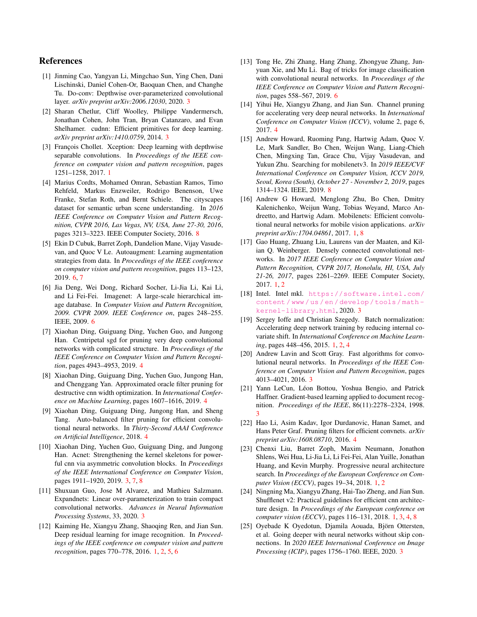# References

- <span id="page-8-10"></span>[1] Jinming Cao, Yangyan Li, Mingchao Sun, Ying Chen, Dani Lischinski, Daniel Cohen-Or, Baoquan Chen, and Changhe Tu. Do-conv: Depthwise over-parameterized convolutional layer. *arXiv preprint arXiv:2006.12030*, 2020. [3](#page-2-4)
- <span id="page-8-12"></span>[2] Sharan Chetlur, Cliff Woolley, Philippe Vandermersch, Jonathan Cohen, John Tran, Bryan Catanzaro, and Evan Shelhamer. cudnn: Efficient primitives for deep learning. *arXiv preprint arXiv:1410.0759*, 2014. [3](#page-2-4)
- <span id="page-8-4"></span>[3] François Chollet. Xception: Deep learning with depthwise separable convolutions. In *Proceedings of the IEEE conference on computer vision and pattern recognition*, pages 1251–1258, 2017. [1](#page-0-1)
- <span id="page-8-23"></span>[4] Marius Cordts, Mohamed Omran, Sebastian Ramos, Timo Rehfeld, Markus Enzweiler, Rodrigo Benenson, Uwe Franke, Stefan Roth, and Bernt Schiele. The cityscapes dataset for semantic urban scene understanding. In *2016 IEEE Conference on Computer Vision and Pattern Recognition, CVPR 2016, Las Vegas, NV, USA, June 27-30, 2016*, pages 3213–3223. IEEE Computer Society, 2016. [8](#page-7-3)
- <span id="page-8-22"></span>[5] Ekin D Cubuk, Barret Zoph, Dandelion Mane, Vijay Vasudevan, and Quoc V Le. Autoaugment: Learning augmentation strategies from data. In *Proceedings of the IEEE conference on computer vision and pattern recognition*, pages 113–123, 2019. [6,](#page-5-3) [7](#page-6-3)
- <span id="page-8-20"></span>[6] Jia Deng, Wei Dong, Richard Socher, Li-Jia Li, Kai Li, and Li Fei-Fei. Imagenet: A large-scale hierarchical image database. In *Computer Vision and Pattern Recognition, 2009. CVPR 2009. IEEE Conference on*, pages 248–255. IEEE, 2009. [6](#page-5-3)
- <span id="page-8-18"></span>[7] Xiaohan Ding, Guiguang Ding, Yuchen Guo, and Jungong Han. Centripetal sgd for pruning very deep convolutional networks with complicated structure. In *Proceedings of the IEEE Conference on Computer Vision and Pattern Recognition*, pages 4943–4953, 2019. [4](#page-3-2)
- <span id="page-8-17"></span>[8] Xiaohan Ding, Guiguang Ding, Yuchen Guo, Jungong Han, and Chenggang Yan. Approximated oracle filter pruning for destructive cnn width optimization. In *International Conference on Machine Learning*, pages 1607–1616, 2019. [4](#page-3-2)
- <span id="page-8-19"></span>[9] Xiaohan Ding, Guiguang Ding, Jungong Han, and Sheng Tang. Auto-balanced filter pruning for efficient convolutional neural networks. In *Thirty-Second AAAI Conference on Artificial Intelligence*, 2018. [4](#page-3-2)
- <span id="page-8-9"></span>[10] Xiaohan Ding, Yuchen Guo, Guiguang Ding, and Jungong Han. Acnet: Strengthening the kernel skeletons for powerful cnn via asymmetric convolution blocks. In *Proceedings of the IEEE International Conference on Computer Vision*, pages 1911–1920, 2019. [3,](#page-2-4) [7,](#page-6-3) [8](#page-7-3)
- <span id="page-8-11"></span>[11] Shuxuan Guo, Jose M Alvarez, and Mathieu Salzmann. Expandnets: Linear over-parameterization to train compact convolutional networks. *Advances in Neural Information Processing Systems*, 33, 2020. [3](#page-2-4)
- <span id="page-8-1"></span>[12] Kaiming He, Xiangyu Zhang, Shaoqing Ren, and Jian Sun. Deep residual learning for image recognition. In *Proceedings of the IEEE conference on computer vision and pattern recognition*, pages 770–778, 2016. [1,](#page-0-1) [2,](#page-1-2) [5,](#page-4-2) [6](#page-5-3)
- <span id="page-8-21"></span>[13] Tong He, Zhi Zhang, Hang Zhang, Zhongyue Zhang, Junyuan Xie, and Mu Li. Bag of tricks for image classification with convolutional neural networks. In *Proceedings of the IEEE Conference on Computer Vision and Pattern Recognition*, pages 558–567, 2019. [6](#page-5-3)
- <span id="page-8-16"></span>[14] Yihui He, Xiangyu Zhang, and Jian Sun. Channel pruning for accelerating very deep neural networks. In *International Conference on Computer Vision (ICCV)*, volume 2, page 6, 2017. [4](#page-3-2)
- <span id="page-8-24"></span>[15] Andrew Howard, Ruoming Pang, Hartwig Adam, Quoc V. Le, Mark Sandler, Bo Chen, Weijun Wang, Liang-Chieh Chen, Mingxing Tan, Grace Chu, Vijay Vasudevan, and Yukun Zhu. Searching for mobilenetv3. In *2019 IEEE/CVF International Conference on Computer Vision, ICCV 2019, Seoul, Korea (South), October 27 - November 2, 2019*, pages 1314–1324. IEEE, 2019. [8](#page-7-3)
- <span id="page-8-5"></span>[16] Andrew G Howard, Menglong Zhu, Bo Chen, Dmitry Kalenichenko, Weijun Wang, Tobias Weyand, Marco Andreetto, and Hartwig Adam. Mobilenets: Efficient convolutional neural networks for mobile vision applications. *arXiv preprint arXiv:1704.04861*, 2017. [1,](#page-0-1) [8](#page-7-3)
- <span id="page-8-2"></span>[17] Gao Huang, Zhuang Liu, Laurens van der Maaten, and Kilian Q. Weinberger. Densely connected convolutional networks. In *2017 IEEE Conference on Computer Vision and Pattern Recognition, CVPR 2017, Honolulu, HI, USA, July 21-26, 2017*, pages 2261–2269. IEEE Computer Society, 2017. [1,](#page-0-1) [2](#page-1-2)
- <span id="page-8-13"></span>[18] Intel. Intel mkl. [https://software.intel.com/](https://software.intel.com/content/www/us/en/develop/tools/math-kernel-library.html) [content / www / us / en / develop / tools / math](https://software.intel.com/content/www/us/en/develop/tools/math-kernel-library.html)  [kernel-library.html](https://software.intel.com/content/www/us/en/develop/tools/math-kernel-library.html), 2020. [3](#page-2-4)
- <span id="page-8-0"></span>[19] Sergey Ioffe and Christian Szegedy. Batch normalization: Accelerating deep network training by reducing internal covariate shift. In *International Conference on Machine Learning*, pages 448–456, 2015. [1,](#page-0-1) [2,](#page-1-2) [4](#page-3-2)
- <span id="page-8-14"></span>[20] Andrew Lavin and Scott Gray. Fast algorithms for convolutional neural networks. In *Proceedings of the IEEE Conference on Computer Vision and Pattern Recognition*, pages 4013–4021, 2016. [3](#page-2-4)
- <span id="page-8-7"></span>[21] Yann LeCun, Léon Bottou, Yoshua Bengio, and Patrick Haffner. Gradient-based learning applied to document recognition. *Proceedings of the IEEE*, 86(11):2278–2324, 1998. [3](#page-2-4)
- <span id="page-8-15"></span>[22] Hao Li, Asim Kadav, Igor Durdanovic, Hanan Samet, and Hans Peter Graf. Pruning filters for efficient convnets. *arXiv preprint arXiv:1608.08710*, 2016. [4](#page-3-2)
- <span id="page-8-3"></span>[23] Chenxi Liu, Barret Zoph, Maxim Neumann, Jonathon Shlens, Wei Hua, Li-Jia Li, Li Fei-Fei, Alan Yuille, Jonathan Huang, and Kevin Murphy. Progressive neural architecture search. In *Proceedings of the European Conference on Computer Vision (ECCV)*, pages 19–34, 2018. [1,](#page-0-1) [2](#page-1-2)
- <span id="page-8-6"></span>[24] Ningning Ma, Xiangyu Zhang, Hai-Tao Zheng, and Jian Sun. Shufflenet v2: Practical guidelines for efficient cnn architecture design. In *Proceedings of the European conference on computer vision (ECCV)*, pages 116–131, 2018. [1,](#page-0-1) [3,](#page-2-4) [4,](#page-3-2) [8](#page-7-3)
- <span id="page-8-8"></span>[25] Oyebade K Oyedotun, Djamila Aouada, Björn Ottersten, et al. Going deeper with neural networks without skip connections. In *2020 IEEE International Conference on Image Processing (ICIP)*, pages 1756–1760. IEEE, 2020. [3](#page-2-4)